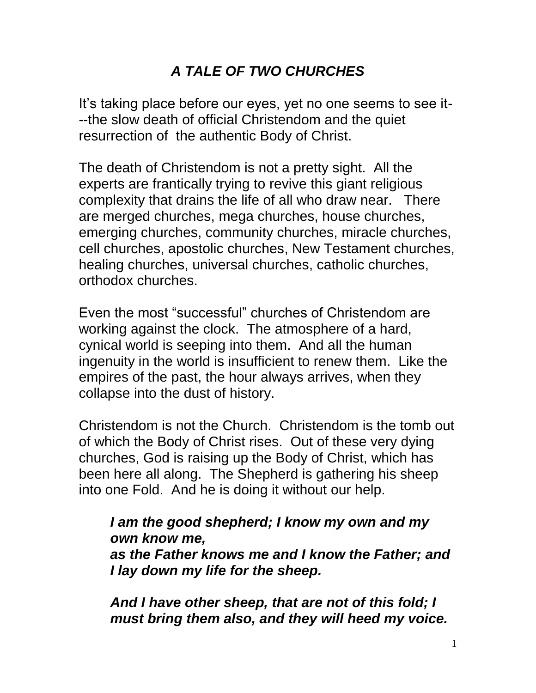# *A TALE OF TWO CHURCHES*

It's taking place before our eyes, yet no one seems to see it---the slow death of official Christendom and the quiet resurrection of the authentic Body of Christ.

The death of Christendom is not a pretty sight. All the experts are frantically trying to revive this giant religious complexity that drains the life of all who draw near. There are merged churches, mega churches, house churches, emerging churches, community churches, miracle churches, cell churches, apostolic churches, New Testament churches, healing churches, universal churches, catholic churches, orthodox churches.

Even the most "successful" churches of Christendom are working against the clock. The atmosphere of a hard, cynical world is seeping into them. And all the human ingenuity in the world is insufficient to renew them. Like the empires of the past, the hour always arrives, when they collapse into the dust of history.

Christendom is not the Church. Christendom is the tomb out of which the Body of Christ rises. Out of these very dying churches, God is raising up the Body of Christ, which has been here all along. The Shepherd is gathering his sheep into one Fold. And he is doing it without our help.

#### *I am the good shepherd; I know my own and my own know me, as the Father knows me and I know the Father; and I lay down my life for the sheep.*

*And I have other sheep, that are not of this fold; I must bring them also, and they will heed my voice.*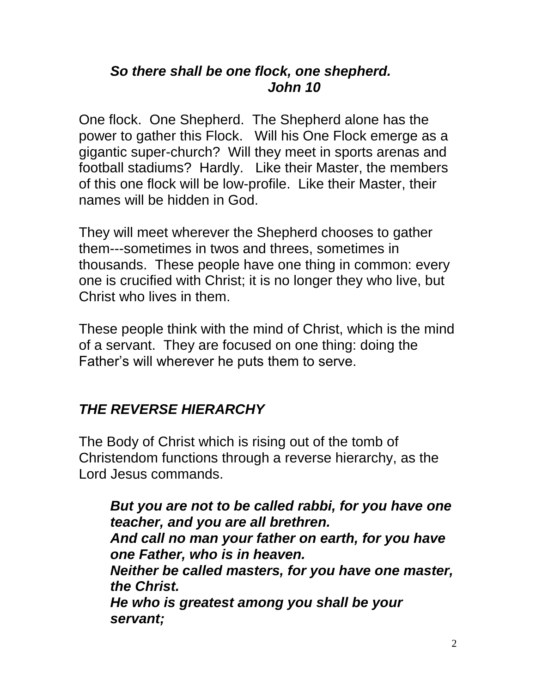### *So there shall be one flock, one shepherd. John 10*

One flock. One Shepherd. The Shepherd alone has the power to gather this Flock. Will his One Flock emerge as a gigantic super-church? Will they meet in sports arenas and football stadiums? Hardly. Like their Master, the members of this one flock will be low-profile. Like their Master, their names will be hidden in God.

They will meet wherever the Shepherd chooses to gather them---sometimes in twos and threes, sometimes in thousands. These people have one thing in common: every one is crucified with Christ; it is no longer they who live, but Christ who lives in them.

These people think with the mind of Christ, which is the mind of a servant. They are focused on one thing: doing the Father's will wherever he puts them to serve.

# *THE REVERSE HIERARCHY*

The Body of Christ which is rising out of the tomb of Christendom functions through a reverse hierarchy, as the Lord Jesus commands.

*But you are not to be called rabbi, for you have one teacher, and you are all brethren. And call no man your father on earth, for you have one Father, who is in heaven. Neither be called masters, for you have one master, the Christ. He who is greatest among you shall be your servant;*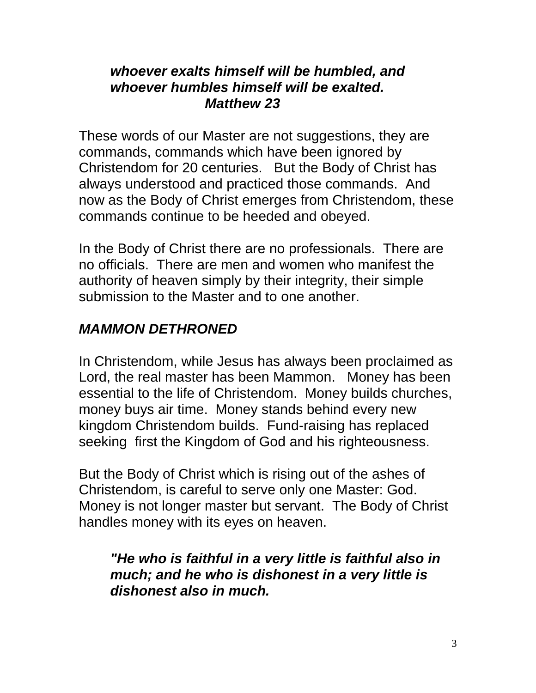#### *whoever exalts himself will be humbled, and whoever humbles himself will be exalted. Matthew 23*

These words of our Master are not suggestions, they are commands, commands which have been ignored by Christendom for 20 centuries. But the Body of Christ has always understood and practiced those commands. And now as the Body of Christ emerges from Christendom, these commands continue to be heeded and obeyed.

In the Body of Christ there are no professionals. There are no officials. There are men and women who manifest the authority of heaven simply by their integrity, their simple submission to the Master and to one another.

# *MAMMON DETHRONED*

In Christendom, while Jesus has always been proclaimed as Lord, the real master has been Mammon. Money has been essential to the life of Christendom. Money builds churches, money buys air time. Money stands behind every new kingdom Christendom builds. Fund-raising has replaced seeking first the Kingdom of God and his righteousness.

But the Body of Christ which is rising out of the ashes of Christendom, is careful to serve only one Master: God. Money is not longer master but servant. The Body of Christ handles money with its eyes on heaven.

### *"He who is faithful in a very little is faithful also in much; and he who is dishonest in a very little is dishonest also in much.*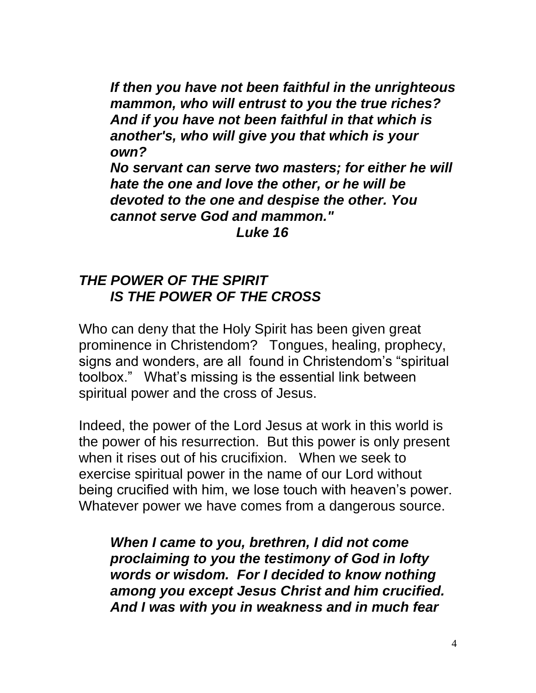*If then you have not been faithful in the unrighteous mammon, who will entrust to you the true riches? And if you have not been faithful in that which is another's, who will give you that which is your own? No servant can serve two masters; for either he will hate the one and love the other, or he will be devoted to the one and despise the other. You cannot serve God and mammon." Luke 16*

#### *THE POWER OF THE SPIRIT IS THE POWER OF THE CROSS*

Who can deny that the Holy Spirit has been given great prominence in Christendom? Tongues, healing, prophecy, signs and wonders, are all found in Christendom's "spiritual toolbox." What's missing is the essential link between spiritual power and the cross of Jesus.

Indeed, the power of the Lord Jesus at work in this world is the power of his resurrection. But this power is only present when it rises out of his crucifixion. When we seek to exercise spiritual power in the name of our Lord without being crucified with him, we lose touch with heaven's power. Whatever power we have comes from a dangerous source.

*When I came to you, brethren, I did not come proclaiming to you the testimony of God in lofty words or wisdom. For I decided to know nothing among you except Jesus Christ and him crucified. And I was with you in weakness and in much fear*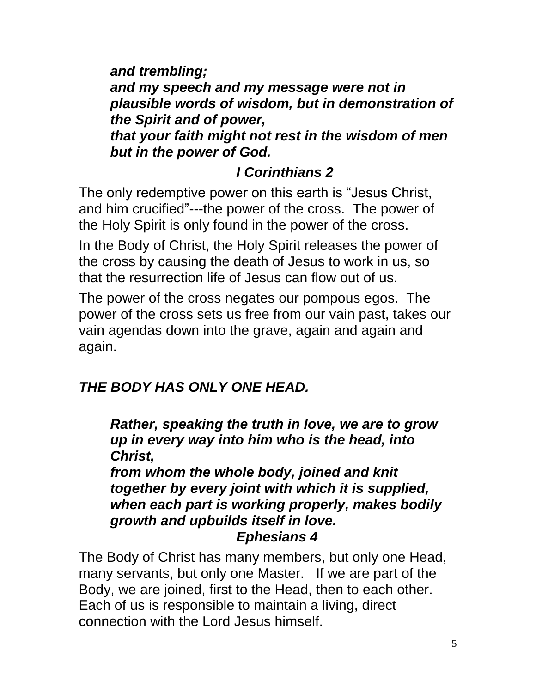*and trembling; and my speech and my message were not in plausible words of wisdom, but in demonstration of the Spirit and of power, that your faith might not rest in the wisdom of men but in the power of God.*

# *I Corinthians 2*

The only redemptive power on this earth is "Jesus Christ, and him crucified"---the power of the cross. The power of the Holy Spirit is only found in the power of the cross.

In the Body of Christ, the Holy Spirit releases the power of the cross by causing the death of Jesus to work in us, so that the resurrection life of Jesus can flow out of us.

The power of the cross negates our pompous egos. The power of the cross sets us free from our vain past, takes our vain agendas down into the grave, again and again and again.

# *THE BODY HAS ONLY ONE HEAD.*

*Rather, speaking the truth in love, we are to grow up in every way into him who is the head, into Christ,* 

*from whom the whole body, joined and knit together by every joint with which it is supplied, when each part is working properly, makes bodily growth and upbuilds itself in love. Ephesians 4*

The Body of Christ has many members, but only one Head, many servants, but only one Master. If we are part of the Body, we are joined, first to the Head, then to each other. Each of us is responsible to maintain a living, direct connection with the Lord Jesus himself.